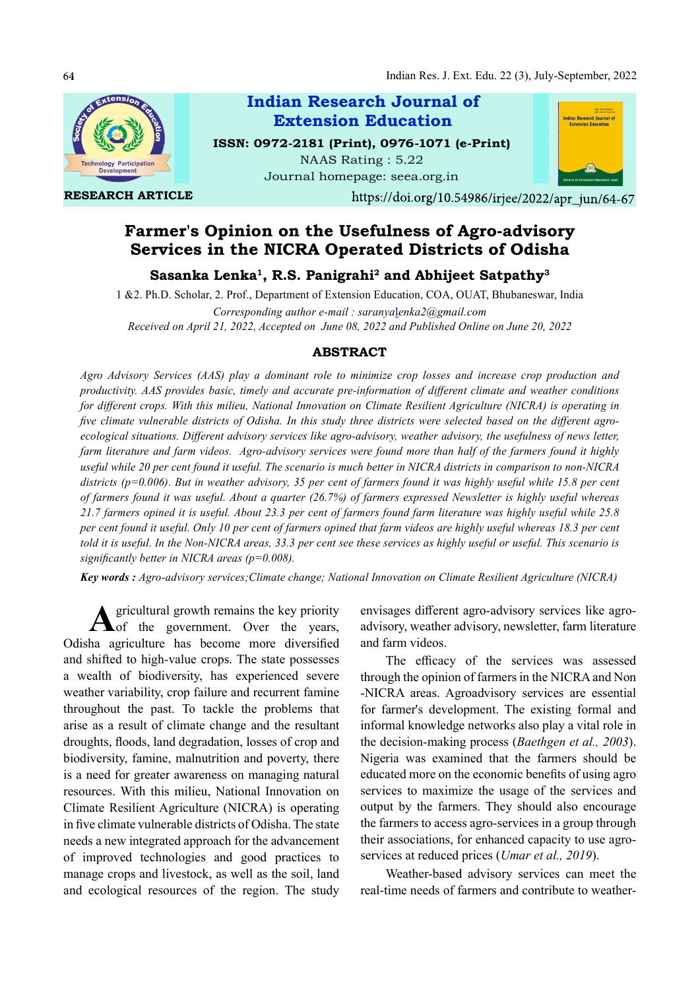

RESEARCH ARTICLE

Indian Research Journal of ISSN: 0972-2181 (Print), 0976-1071 (e-Print) NAAS Rating : 5.22 Extension Education

Journal homepage: seea.org.in



https://doi.org/10.54986/irjee/2022/apr\_jun/64-67

# Farmer's Opinion on the Usefulness of Agro-advisory Services in the NICRA Operated Districts of Odisha

Sasanka Lenka<sup>1</sup>, R.S. Panigrahi<sup>2</sup> and Abhijeet Satpathy<sup>3</sup>

1 &2. Ph.D. Scholar, 2. Prof., Department of Extension Education, COA, OUAT, Bhubaneswar, India

Corresponding author e-mail : saranyalenka2@gmail.com Received on April 21, 2022, Accepted on June 08, 2022 and Published Online on June 20, 2022

# ABSTRACT

Agro Advisory Services (AAS) play a dominant role to minimize crop losses and increase crop production and productivity. AAS provides basic, timely and accurate pre-information of different climate and weather conditions for different crops. With this milieu, National Innovation on Climate Resilient Agriculture (NICRA) is operating in five climate vulnerable districts of Odisha. In this study three districts were selected based on the different agroecological situations. Different advisory services like agro-advisory, weather advisory, the usefulness of news letter, farm literature and farm videos. Agro-advisory services were found more than half of the farmers found it highly useful while 20 per cent found it useful. The scenario is much better in NICRA districts in comparison to non-NICRA districts ( $p=0.006$ ). But in weather advisory, 35 per cent of farmers found it was highly useful while 15.8 per cent of farmers found it was useful. About a quarter (26.7%) of farmers expressed Newsletter is highly useful whereas 21.7 farmers opined it is useful. About 23.3 per cent of farmers found farm literature was highly useful while 25.8 per cent found it useful. Only 10 per cent of farmers opined that farm videos are highly useful whereas 18.3 per cent told it is useful. In the Non-NICRA areas, 33.3 per cent see these services as highly useful or useful. This scenario is significantly better in NICRA areas ( $p=0.008$ ).

Key words : Agro-advisory services;Climate change; National Innovation on Climate Resilient Agriculture (NICRA)

**A** gricultural growth remains the key priority<br>of the government. Over the years, of the government. Over the years, Odisha agriculture has become more diversified and shifted to high-value crops. The state possesses a wealth of biodiversity, has experienced severe weather variability, crop failure and recurrent famine throughout the past. To tackle the problems that arise as a result of climate change and the resultant droughts, floods, land degradation, losses of crop and biodiversity, famine, malnutrition and poverty, there is a need for greater awareness on managing natural resources. With this milieu, National Innovation on Climate Resilient Agriculture (NICRA) is operating in five climate vulnerable districts of Odisha. The state needs a new integrated approach for the advancement of improved technologies and good practices to manage crops and livestock, as well as the soil, land and ecological resources of the region. The study

envisages different agro-advisory services like agroadvisory, weather advisory, newsletter, farm literature and farm videos.

The efficacy of the services was assessed through the opinion of farmers in the NICRA and Non -NICRA areas. Agroadvisory services are essential for farmer's development. The existing formal and informal knowledge networks also play a vital role in the decision-making process (Baethgen et al., 2003). Nigeria was examined that the farmers should be educated more on the economic benefits of using agro services to maximize the usage of the services and output by the farmers. They should also encourage the farmers to access agro-services in a group through their associations, for enhanced capacity to use agroservices at reduced prices (*Umar et al., 2019*).

Weather-based advisory services can meet the real-time needs of farmers and contribute to weather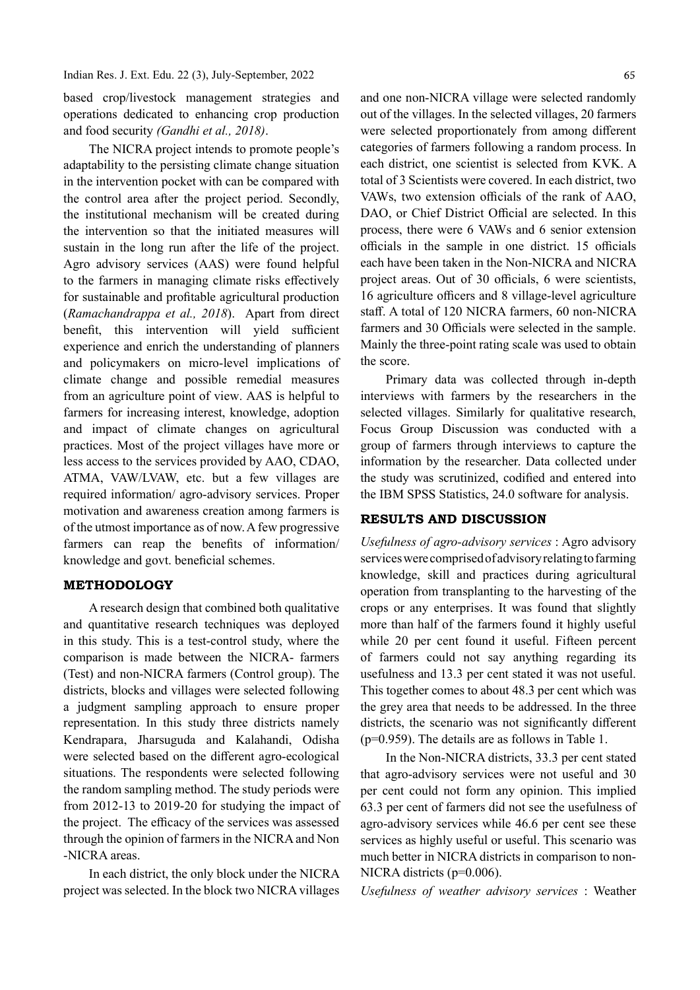Indian Res. J. Ext. Edu. 22 (3), July-September, 2022

based crop/livestock management strategies and operations dedicated to enhancing crop production and food security (Gandhi et al., 2018).

The NICRA project intends to promote people's adaptability to the persisting climate change situation in the intervention pocket with can be compared with the control area after the project period. Secondly, the institutional mechanism will be created during the intervention so that the initiated measures will sustain in the long run after the life of the project. Agro advisory services (AAS) were found helpful to the farmers in managing climate risks effectively for sustainable and profitable agricultural production  $(Ramachandrappa et al., 2018)$ . Apart from direct benefit, this intervention will yield sufficient experience and enrich the understanding of planners and policymakers on micro-level implications of climate change and possible remedial measures from an agriculture point of view. AAS is helpful to farmers for increasing interest, knowledge, adoption and impact of climate changes on agricultural practices. Most of the project villages have more or less access to the services provided by AAO, CDAO, ATMA, VAW/LVAW, etc. but a few villages are required information/ agro-advisory services. Proper motivation and awareness creation among farmers is of the utmost importance as of now. A few progressive farmers can reap the benefits of information/ knowledge and govt. beneficial schemes.

# METHODOLOGY

A research design that combined both qualitative and quantitative research techniques was deployed in this study. This is a test-control study, where the comparison is made between the NICRA- farmers (Test) and non-NICRA farmers (Control group). The districts, blocks and villages were selected following a judgment sampling approach to ensure proper representation. In this study three districts namely Kendrapara, Jharsuguda and Kalahandi, Odisha were selected based on the different agro-ecological situations. The respondents were selected following the random sampling method. The study periods were from 2012-13 to 2019-20 for studying the impact of the project. The efficacy of the services was assessed through the opinion of farmers in the NICRA and Non -NICRA areas.

In each district, the only block under the NICRA project was selected. In the block two NICRA villages

and one non-NICRA village were selected randomly out of the villages. In the selected villages, 20 farmers were selected proportionately from among different categories of farmers following a random process. In each district, one scientist is selected from KVK. A total of 3 Scientists were covered. In each district, two VAWs, two extension officials of the rank of AAO, DAO, or Chief District Official are selected. In this process, there were 6 VAWs and 6 senior extension officials in the sample in one district. 15 officials each have been taken in the Non-NICRA and NICRA project areas. Out of 30 officials, 6 were scientists, 16 agriculture officers and 8 village-level agriculture staff. A total of 120 NICRA farmers, 60 non-NICRA farmers and 30 Officials were selected in the sample. Mainly the three-point rating scale was used to obtain the score.

Primary data was collected through in-depth interviews with farmers by the researchers in the selected villages. Similarly for qualitative research, Focus Group Discussion was conducted with a group of farmers through interviews to capture the information by the researcher. Data collected under the study was scrutinized, codified and entered into the IBM SPSS Statistics, 24.0 software for analysis.

### RESULTS AND DISCUSSION

Usefulness of agro-advisory services : Agro advisory services were comprised of advisory relating to farming knowledge, skill and practices during agricultural operation from transplanting to the harvesting of the crops or any enterprises. It was found that slightly more than half of the farmers found it highly useful while 20 per cent found it useful. Fifteen percent of farmers could not say anything regarding its usefulness and 13.3 per cent stated it was not useful. This together comes to about 48.3 per cent which was the grey area that needs to be addressed. In the three districts, the scenario was not significantly different (p=0.959). The details are as follows in Table 1.

In the Non-NICRA districts, 33.3 per cent stated that agro-advisory services were not useful and 30 per cent could not form any opinion. This implied 63.3 per cent of farmers did not see the usefulness of agro-advisory services while 46.6 per cent see these services as highly useful or useful. This scenario was much better in NICRA districts in comparison to non-NICRA districts (p=0.006).

Usefulness of weather advisory services : Weather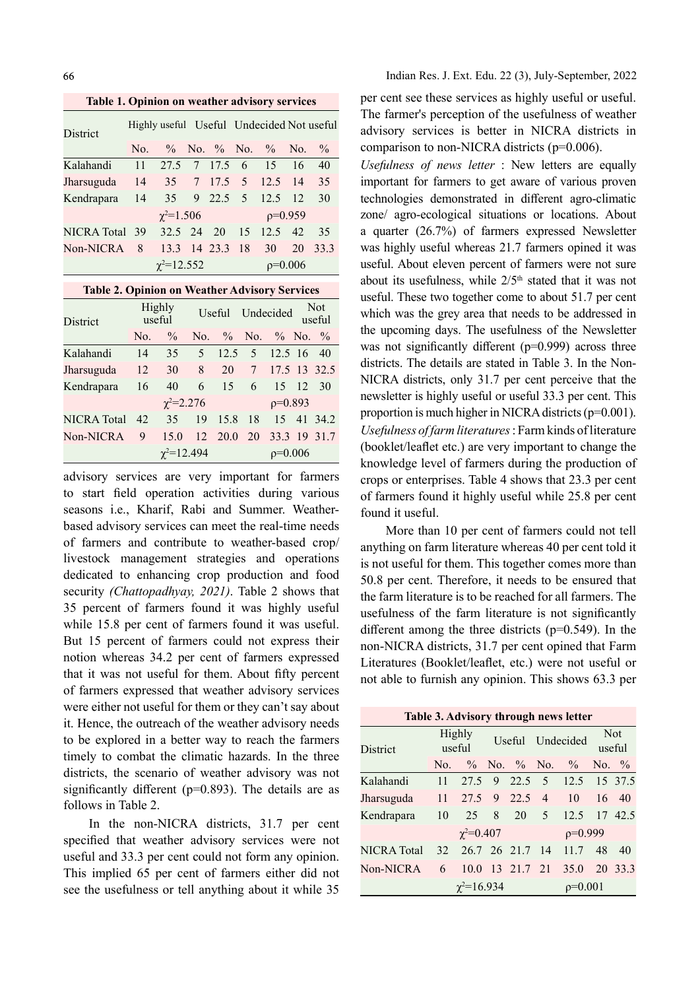Table 1. Opinion on weather advisory services

| <b>District</b> |                   | Highly useful Useful Undecided Not useful |  |                 |           |                       |    |      |  |  |
|-----------------|-------------------|-------------------------------------------|--|-----------------|-----------|-----------------------|----|------|--|--|
|                 | No.               | $\%$ No. $\%$ No. $\%$ No. $\%$           |  |                 |           |                       |    |      |  |  |
| Kalahandi       | 11                | 27.5 7 17.5 6 15 16                       |  |                 |           |                       |    | 40   |  |  |
| Jharsuguda      | 14                |                                           |  |                 |           | 35 7 17.5 5 12.5 14   |    | 35   |  |  |
| Kendrapara 14   |                   |                                           |  |                 |           | 35 9 22.5 5 12.5 12   |    | 30   |  |  |
|                 |                   | $\chi^2 = 1.506$                          |  |                 |           | $p=0.959$             |    |      |  |  |
| NICRA Total 39  |                   |                                           |  |                 |           | 32.5 24 20 15 12.5 42 |    | 35   |  |  |
| Non-NICRA       | - 8               |                                           |  | 13.3 14 23.3 18 |           | 30                    | 20 | 33.3 |  |  |
|                 | $\chi^2 = 12.552$ |                                           |  |                 | $p=0.006$ |                       |    |      |  |  |

#### Table 2. Opinion on Weather Advisory Services

| District           | Highly<br>useful  |                 |                |            | Useful Undecided  |                |       | <b>Not</b><br>useful |  |
|--------------------|-------------------|-----------------|----------------|------------|-------------------|----------------|-------|----------------------|--|
|                    | No.               | $\frac{0}{0}$   |                |            | No. % No. % No. % |                |       |                      |  |
| Kalahandi          | 14                | 35 <sup>5</sup> | 5 <sup>5</sup> |            | $12.5 \quad 5$    | 12.5 16 40     |       |                      |  |
| Jharsuguda         | 12                | 30              | 8              | 20         |                   | 7 17.5 13 32.5 |       |                      |  |
| Kendrapara         | 16                | 40              |                | 6 15       | 6                 |                | 15 12 | 30                   |  |
|                    | $\chi^2 = 2.276$  |                 |                |            | $p=0.893$         |                |       |                      |  |
| <b>NICRA</b> Total | 42                | 35              | 19             | 15.8 18    |                   |                |       | 15 41 34.2           |  |
| Non-NICRA          | 9                 | 15.0            |                | 12 20.0 20 |                   |                |       | 33.3 19 31.7         |  |
|                    | $\chi^2 = 12.494$ |                 |                |            | $p=0.006$         |                |       |                      |  |

advisory services are very important for farmers to start field operation activities during various seasons i.e., Kharif, Rabi and Summer. Weatherbased advisory services can meet the real-time needs of farmers and contribute to weather-based crop/ livestock management strategies and operations dedicated to enhancing crop production and food security (Chattopadhyay, 2021). Table 2 shows that 35 percent of farmers found it was highly useful while 15.8 per cent of farmers found it was useful. But 15 percent of farmers could not express their notion whereas 34.2 per cent of farmers expressed that it was not useful for them. About fifty percent of farmers expressed that weather advisory services were either not useful for them or they can't say about it. Hence, the outreach of the weather advisory needs to be explored in a better way to reach the farmers timely to combat the climatic hazards. In the three districts, the scenario of weather advisory was not significantly different ( $p=0.893$ ). The details are as follows in Table 2.

In the non-NICRA districts, 31.7 per cent specified that weather advisory services were not useful and 33.3 per cent could not form any opinion. This implied 65 per cent of farmers either did not see the usefulness or tell anything about it while 35 per cent see these services as highly useful or useful. The farmer's perception of the usefulness of weather advisory services is better in NICRA districts in comparison to non-NICRA districts (p=0.006).

Usefulness of news letter : New letters are equally important for farmers to get aware of various proven technologies demonstrated in different agro-climatic zone/ agro-ecological situations or locations. About a quarter (26.7%) of farmers expressed Newsletter was highly useful whereas 21.7 farmers opined it was useful. About eleven percent of farmers were not sure about its usefulness, while  $2/5<sup>th</sup>$  stated that it was not useful. These two together come to about 51.7 per cent which was the grey area that needs to be addressed in the upcoming days. The usefulness of the Newsletter was not significantly different  $(p=0.999)$  across three districts. The details are stated in Table 3. In the Non-NICRA districts, only 31.7 per cent perceive that the newsletter is highly useful or useful 33.3 per cent. This proportion is much higher in NICRA districts (p=0.001). Usefulness of farm literatures : Farm kinds of literature (booklet/leaflet etc.) are very important to change the knowledge level of farmers during the production of crops or enterprises. Table 4 shows that 23.3 per cent of farmers found it highly useful while 25.8 per cent found it useful.

More than 10 per cent of farmers could not tell anything on farm literature whereas 40 per cent told it is not useful for them. This together comes more than 50.8 per cent. Therefore, it needs to be ensured that the farm literature is to be reached for all farmers. The usefulness of the farm literature is not significantly different among the three districts ( $p=0.549$ ). In the non-NICRA districts, 31.7 per cent opined that Farm Literatures (Booklet/leaflet, etc.) were not useful or not able to furnish any opinion. This shows 63.3 per

| Table 3. Advisory through news letter |                   |                  |   |  |           |                              |                      |    |  |  |  |
|---------------------------------------|-------------------|------------------|---|--|-----------|------------------------------|----------------------|----|--|--|--|
| District                              | Highly<br>useful  |                  |   |  |           | Useful Undecided             | <b>Not</b><br>useful |    |  |  |  |
|                                       |                   |                  |   |  |           | No. $\%$ No. $\%$ No. $\%$   | No. $\%$             |    |  |  |  |
| Kalahandi                             | 11                |                  |   |  |           | 27.5 9 22.5 5 12.5 15 37.5   |                      |    |  |  |  |
| Jharsuguda                            | 11                | 27.5 9 22.5 4    |   |  |           | 10                           | 16                   | 40 |  |  |  |
| Kendrapara                            | 10                | 25               | 8 |  |           | 20 5 12.5 17 42.5            |                      |    |  |  |  |
|                                       |                   | $\chi^2 = 0.407$ |   |  | $p=0.999$ |                              |                      |    |  |  |  |
| NICRA Total                           |                   |                  |   |  |           | 32 26.7 26 21.7 14 11.7 48   |                      | 40 |  |  |  |
| Non-NICRA                             | 6                 |                  |   |  |           | 10.0 13 21.7 21 35.0 20 33.3 |                      |    |  |  |  |
|                                       | $\chi^2 = 16.934$ |                  |   |  |           | $\rho = 0.001$               |                      |    |  |  |  |